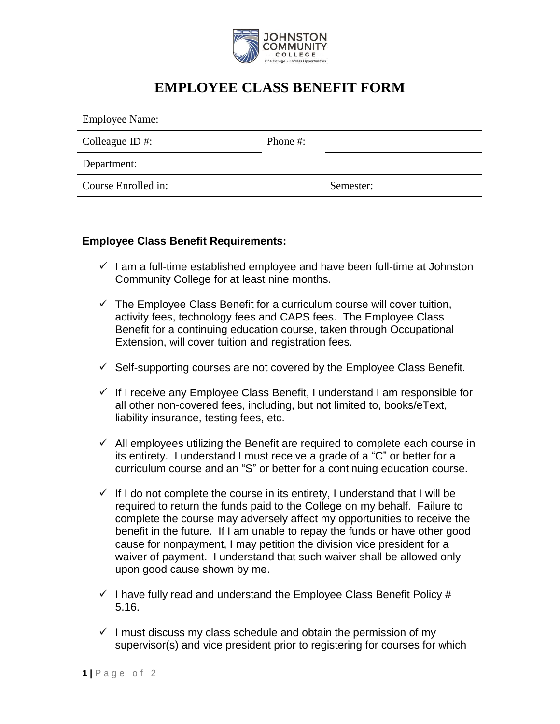

## **EMPLOYEE CLASS BENEFIT FORM**

| <b>Employee Name:</b> |          |           |
|-----------------------|----------|-----------|
| Colleague ID #:       | Phone #: |           |
| Department:           |          |           |
| Course Enrolled in:   |          | Semester: |

## **Employee Class Benefit Requirements:**

- $\checkmark$  I am a full-time established employee and have been full-time at Johnston Community College for at least nine months.
- $\checkmark$  The Employee Class Benefit for a curriculum course will cover tuition, activity fees, technology fees and CAPS fees. The Employee Class Benefit for a continuing education course, taken through Occupational Extension, will cover tuition and registration fees.
- $\checkmark$  Self-supporting courses are not covered by the Employee Class Benefit.
- $\checkmark$  If I receive any Employee Class Benefit, I understand I am responsible for all other non-covered fees, including, but not limited to, books/eText, liability insurance, testing fees, etc.
- $\checkmark$  All employees utilizing the Benefit are required to complete each course in its entirety. I understand I must receive a grade of a "C" or better for a curriculum course and an "S" or better for a continuing education course.
- $\checkmark$  If I do not complete the course in its entirety, I understand that I will be required to return the funds paid to the College on my behalf. Failure to complete the course may adversely affect my opportunities to receive the benefit in the future. If I am unable to repay the funds or have other good cause for nonpayment, I may petition the division vice president for a waiver of payment. I understand that such waiver shall be allowed only upon good cause shown by me.
- $\checkmark$  I have fully read and understand the Employee Class Benefit Policy # 5.16.
- $\checkmark$  I must discuss my class schedule and obtain the permission of my supervisor(s) and vice president prior to registering for courses for which